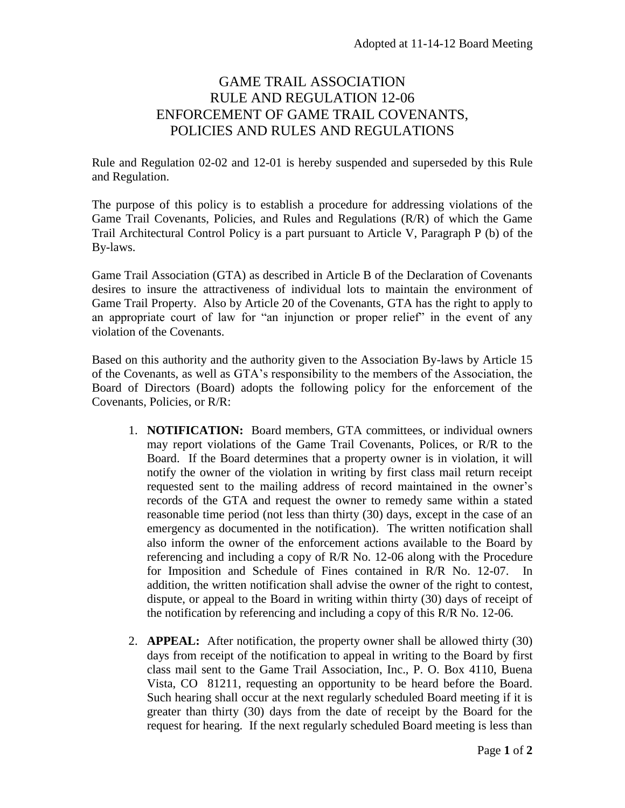## GAME TRAIL ASSOCIATION RULE AND REGULATION 12-06 ENFORCEMENT OF GAME TRAIL COVENANTS, POLICIES AND RULES AND REGULATIONS

Rule and Regulation 02-02 and 12-01 is hereby suspended and superseded by this Rule and Regulation.

The purpose of this policy is to establish a procedure for addressing violations of the Game Trail Covenants, Policies, and Rules and Regulations (R/R) of which the Game Trail Architectural Control Policy is a part pursuant to Article V, Paragraph P (b) of the By-laws.

Game Trail Association (GTA) as described in Article B of the Declaration of Covenants desires to insure the attractiveness of individual lots to maintain the environment of Game Trail Property. Also by Article 20 of the Covenants, GTA has the right to apply to an appropriate court of law for "an injunction or proper relief" in the event of any violation of the Covenants.

Based on this authority and the authority given to the Association By-laws by Article 15 of the Covenants, as well as GTA's responsibility to the members of the Association, the Board of Directors (Board) adopts the following policy for the enforcement of the Covenants, Policies, or R/R:

- 1. **NOTIFICATION:** Board members, GTA committees, or individual owners may report violations of the Game Trail Covenants, Polices, or R/R to the Board. If the Board determines that a property owner is in violation, it will notify the owner of the violation in writing by first class mail return receipt requested sent to the mailing address of record maintained in the owner's records of the GTA and request the owner to remedy same within a stated reasonable time period (not less than thirty (30) days, except in the case of an emergency as documented in the notification). The written notification shall also inform the owner of the enforcement actions available to the Board by referencing and including a copy of R/R No. 12-06 along with the Procedure for Imposition and Schedule of Fines contained in R/R No. 12-07. In addition, the written notification shall advise the owner of the right to contest, dispute, or appeal to the Board in writing within thirty (30) days of receipt of the notification by referencing and including a copy of this R/R No. 12-06.
- 2. **APPEAL:** After notification, the property owner shall be allowed thirty (30) days from receipt of the notification to appeal in writing to the Board by first class mail sent to the Game Trail Association, Inc., P. O. Box 4110, Buena Vista, CO 81211, requesting an opportunity to be heard before the Board. Such hearing shall occur at the next regularly scheduled Board meeting if it is greater than thirty (30) days from the date of receipt by the Board for the request for hearing. If the next regularly scheduled Board meeting is less than